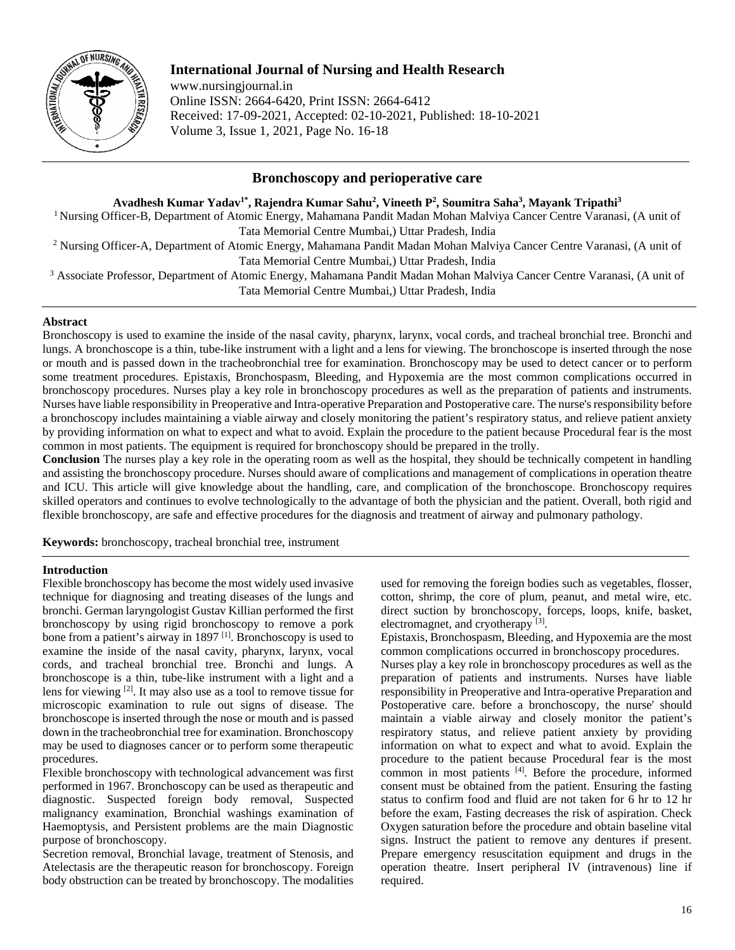

# **International Journal of Nursing and Health Research**

www.nursingjournal.in Online ISSN: 2664-6420, Print ISSN: 2664-6412 Received: 17-09-2021, Accepted: 02-10-2021, Published: 18-10-2021 Volume 3, Issue 1, 2021, Page No. 16-18

# **Bronchoscopy and perioperative care**

**Avadhesh Kumar Yadav1\* , Rajendra Kumar Sahu2 , Vineeth P2 , Soumitra Saha3 , Mayank Tripathi3**

<sup>1</sup> Nursing Officer-B, Department of Atomic Energy, Mahamana Pandit Madan Mohan Malviya Cancer Centre Varanasi, (A unit of Tata Memorial Centre Mumbai,) Uttar Pradesh, India

<sup>2</sup> Nursing Officer-A, Department of Atomic Energy, Mahamana Pandit Madan Mohan Malviya Cancer Centre Varanasi, (A unit of Tata Memorial Centre Mumbai,) Uttar Pradesh, India

<sup>3</sup> Associate Professor, Department of Atomic Energy, Mahamana Pandit Madan Mohan Malviya Cancer Centre Varanasi, (A unit of Tata Memorial Centre Mumbai,) Uttar Pradesh, India

### **Abstract**

Bronchoscopy is used to examine the inside of the nasal cavity, pharynx, larynx, vocal cords, and tracheal bronchial tree. Bronchi and lungs. A bronchoscope is a thin, tube-like instrument with a light and a lens for viewing. The bronchoscope is inserted through the nose or mouth and is passed down in the tracheobronchial tree for examination. Bronchoscopy may be used to detect cancer or to perform some treatment procedures. Epistaxis, Bronchospasm, Bleeding, and Hypoxemia are the most common complications occurred in bronchoscopy procedures. Nurses play a key role in bronchoscopy procedures as well as the preparation of patients and instruments. Nurses have liable responsibility in Preoperative and Intra-operative Preparation and Postoperative care. The nurse's responsibility before a bronchoscopy includes maintaining a viable airway and closely monitoring the patient's respiratory status, and relieve patient anxiety by providing information on what to expect and what to avoid. Explain the procedure to the patient because Procedural fear is the most common in most patients. The equipment is required for bronchoscopy should be prepared in the trolly.

**Conclusion** The nurses play a key role in the operating room as well as the hospital, they should be technically competent in handling and assisting the bronchoscopy procedure. Nurses should aware of complications and management of complications in operation theatre and ICU. This article will give knowledge about the handling, care, and complication of the bronchoscope. Bronchoscopy requires skilled operators and continues to evolve technologically to the advantage of both the physician and the patient. Overall, both rigid and flexible bronchoscopy, are safe and effective procedures for the diagnosis and treatment of airway and pulmonary pathology.

**Keywords:** bronchoscopy, tracheal bronchial tree, instrument

### **Introduction**

Flexible bronchoscopy has become the most widely used invasive technique for diagnosing and treating diseases of the lungs and bronchi. German laryngologist Gustav Killian performed the first bronchoscopy by using rigid bronchoscopy to remove a pork bone from a patient's airway in 1897<sup>[1]</sup>. Bronchoscopy is used to examine the inside of the nasal cavity, pharynx, larynx, vocal cords, and tracheal bronchial tree. Bronchi and lungs. A bronchoscope is a thin, tube-like instrument with a light and a lens for viewing <sup>[2]</sup>. It may also use as a tool to remove tissue for microscopic examination to rule out signs of disease. The bronchoscope is inserted through the nose or mouth and is passed down in the tracheobronchial tree for examination. Bronchoscopy may be used to diagnoses cancer or to perform some therapeutic procedures.

Flexible bronchoscopy with technological advancement was first performed in 1967. Bronchoscopy can be used as therapeutic and diagnostic. Suspected foreign body removal, Suspected malignancy examination, Bronchial washings examination of Haemoptysis, and Persistent problems are the main Diagnostic purpose of bronchoscopy.

Secretion removal, Bronchial lavage, treatment of Stenosis, and Atelectasis are the therapeutic reason for bronchoscopy. Foreign body obstruction can be treated by bronchoscopy. The modalities

used for removing the foreign bodies such as vegetables, flosser, cotton, shrimp, the core of plum, peanut, and metal wire, etc. direct suction by bronchoscopy, forceps, loops, knife, basket, electromagnet, and cryotherapy<sup>[3]</sup>.

Epistaxis, Bronchospasm, Bleeding, and Hypoxemia are the most common complications occurred in bronchoscopy procedures.

Nurses play a key role in bronchoscopy procedures as well as the preparation of patients and instruments. Nurses have liable responsibility in Preoperative and Intra-operative Preparation and Postoperative care. before a bronchoscopy, the nurse' should maintain a viable airway and closely monitor the patient's respiratory status, and relieve patient anxiety by providing information on what to expect and what to avoid. Explain the procedure to the patient because Procedural fear is the most common in most patients [4]. Before the procedure, informed consent must be obtained from the patient. Ensuring the fasting status to confirm food and fluid are not taken for 6 hr to 12 hr before the exam, Fasting decreases the risk of aspiration. Check Oxygen saturation before the procedure and obtain baseline vital signs. Instruct the patient to remove any dentures if present. Prepare emergency resuscitation equipment and drugs in the operation theatre. Insert peripheral IV (intravenous) line if required.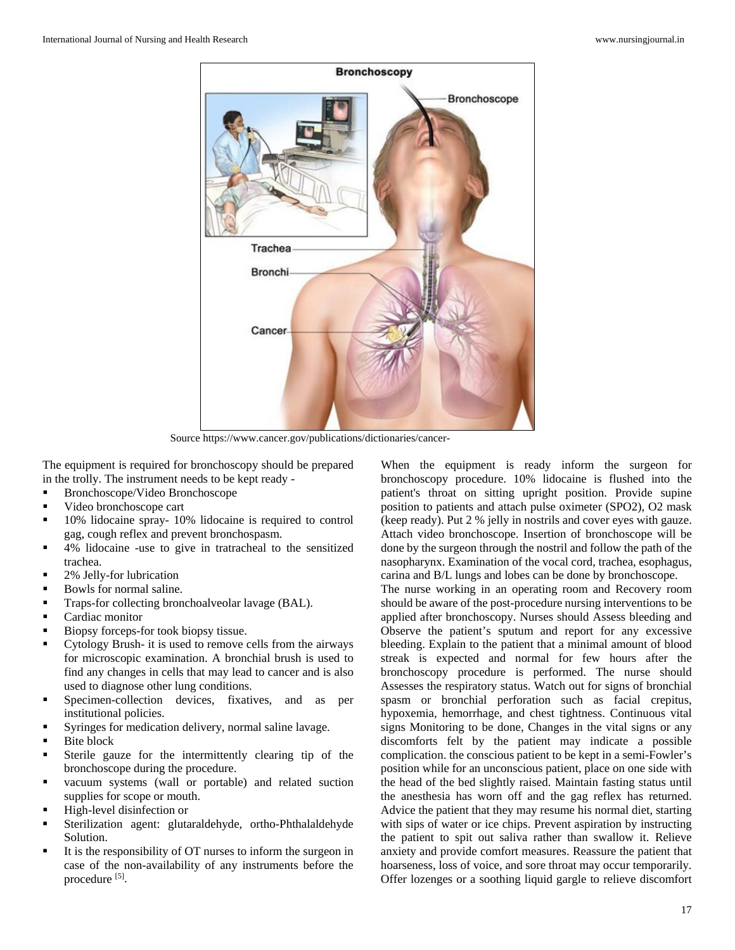

Source https://www.cancer.gov/publications/dictionaries/cancer-

The equipment is required for bronchoscopy should be prepared in the trolly. The instrument needs to be kept ready -

- Bronchoscope/Video Bronchoscope
- Video bronchoscope cart
- 10% lidocaine spray- 10% lidocaine is required to control gag, cough reflex and prevent bronchospasm.
- 4% lidocaine -use to give in tratracheal to the sensitized trachea.
- 2% Jelly-for lubrication
- Bowls for normal saline.
- Traps-for collecting bronchoalveolar lavage (BAL).
- Cardiac monitor
- Biopsy forceps-for took biopsy tissue.
- Cytology Brush- it is used to remove cells from the airways for microscopic examination. A bronchial brush is used to find any changes in cells that may lead to cancer and is also used to diagnose other lung conditions.
- Specimen-collection devices, fixatives, and as per institutional policies.
- Syringes for medication delivery, normal saline lavage.
- Bite block
- Sterile gauze for the intermittently clearing tip of the bronchoscope during the procedure.
- vacuum systems (wall or portable) and related suction supplies for scope or mouth.
- High-level disinfection or
- Sterilization agent: glutaraldehyde, ortho-Phthalaldehyde Solution.
- It is the responsibility of OT nurses to inform the surgeon in case of the non-availability of any instruments before the procedure [5].

When the equipment is ready inform the surgeon for bronchoscopy procedure. 10% lidocaine is flushed into the patient's throat on sitting upright position. Provide supine position to patients and attach pulse oximeter (SPO2), O2 mask (keep ready). Put 2 % jelly in nostrils and cover eyes with gauze. Attach video bronchoscope. Insertion of bronchoscope will be done by the surgeon through the nostril and follow the path of the nasopharynx. Examination of the vocal cord, trachea, esophagus, carina and B/L lungs and lobes can be done by bronchoscope.

The nurse working in an operating room and Recovery room should be aware of the post-procedure nursing interventions to be applied after bronchoscopy. Nurses should Assess bleeding and Observe the patient's sputum and report for any excessive bleeding. Explain to the patient that a minimal amount of blood streak is expected and normal for few hours after the bronchoscopy procedure is performed. The nurse should Assesses the respiratory status. Watch out for signs of bronchial spasm or bronchial perforation such as facial crepitus, hypoxemia, hemorrhage, and chest tightness. Continuous vital signs Monitoring to be done, Changes in the vital signs or any discomforts felt by the patient may indicate a possible complication. the conscious patient to be kept in a semi-Fowler's position while for an unconscious patient, place on one side with the head of the bed slightly raised. Maintain fasting status until the anesthesia has worn off and the gag reflex has returned. Advice the patient that they may resume his normal diet, starting with sips of water or ice chips. Prevent aspiration by instructing the patient to spit out saliva rather than swallow it. Relieve anxiety and provide comfort measures. Reassure the patient that hoarseness, loss of voice, and sore throat may occur temporarily. Offer lozenges or a soothing liquid gargle to relieve discomfort